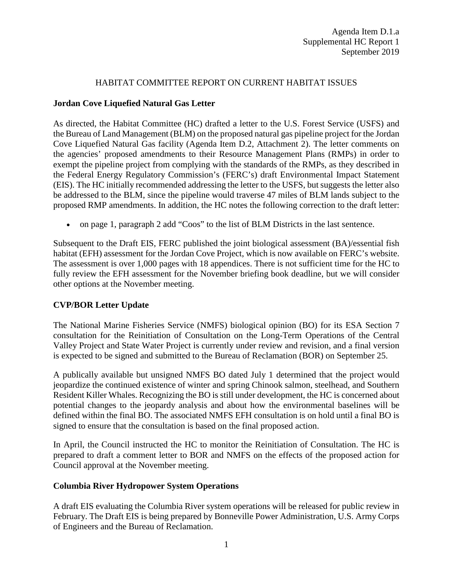#### HABITAT COMMITTEE REPORT ON CURRENT HABITAT ISSUES

#### **Jordan Cove Liquefied Natural Gas Letter**

As directed, the Habitat Committee (HC) drafted a letter to the U.S. Forest Service (USFS) and the Bureau of Land Management (BLM) on the proposed natural gas pipeline project for the Jordan Cove Liquefied Natural Gas facility (Agenda Item D.2, Attachment 2). The letter comments on the agencies' proposed amendments to their Resource Management Plans (RMPs) in order to exempt the pipeline project from complying with the standards of the RMPs, as they described in the Federal Energy Regulatory Commission's (FERC's) draft Environmental Impact Statement (EIS). The HC initially recommended addressing the letter to the USFS, but suggests the letter also be addressed to the BLM, since the pipeline would traverse 47 miles of BLM lands subject to the proposed RMP amendments. In addition, the HC notes the following correction to the draft letter:

• on page 1, paragraph 2 add "Coos" to the list of BLM Districts in the last sentence.

Subsequent to the Draft EIS, FERC published the joint biological assessment (BA)/essential fish habitat (EFH) assessment for the Jordan Cove Project, which is now available on FERC's website. The assessment is over 1,000 pages with 18 appendices. There is not sufficient time for the HC to fully review the EFH assessment for the November briefing book deadline, but we will consider other options at the November meeting.

## **CVP/BOR Letter Update**

The National Marine Fisheries Service (NMFS) biological opinion (BO) for its ESA Section 7 consultation for the Reinitiation of Consultation on the Long-Term Operations of the Central Valley Project and State Water Project is currently under review and revision, and a final version is expected to be signed and submitted to the Bureau of Reclamation (BOR) on September 25.

A publically available but unsigned NMFS BO dated July 1 determined that the project would jeopardize the continued existence of winter and spring Chinook salmon, steelhead, and Southern Resident Killer Whales. Recognizing the BO is still under development, the HC is concerned about potential changes to the jeopardy analysis and about how the environmental baselines will be defined within the final BO. The associated NMFS EFH consultation is on hold until a final BO is signed to ensure that the consultation is based on the final proposed action.

In April, the Council instructed the HC to monitor the Reinitiation of Consultation. The HC is prepared to draft a comment letter to BOR and NMFS on the effects of the proposed action for Council approval at the November meeting.

## **Columbia River Hydropower System Operations**

A draft EIS evaluating the Columbia River system operations will be released for public review in February. The Draft EIS is being prepared by Bonneville Power Administration, U.S. Army Corps of Engineers and the Bureau of Reclamation.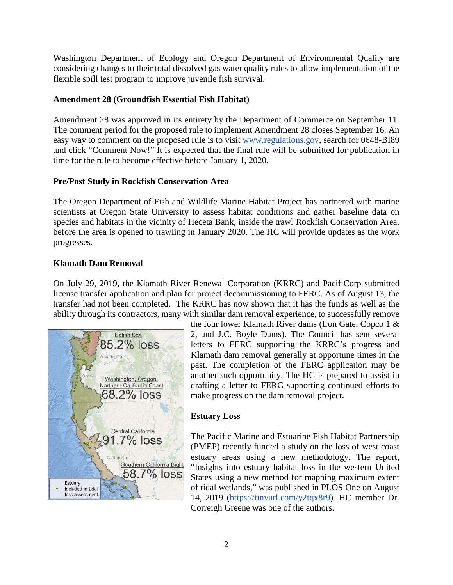Washington Department of Ecology and Oregon Department of Environmental Quality are considering changes to their total dissolved gas water quality rules to allow implementation of the flexible spill test program to improve juvenile fish survival.

## **Amendment 28 (Groundfish Essential Fish Habitat)**

Amendment 28 was approved in its entirety by the Department of Commerce on September 11. The comment period for the proposed rule to implement Amendment 28 closes September 16. An easy way to comment on the proposed rule is to visit [www.regulations.gov,](http://www.regulations.gov/) search for 0648-BI89 and click "Comment Now!" It is expected that the final rule will be submitted for publication in time for the rule to become effective before January 1, 2020.

## **Pre/Post Study in Rockfish Conservation Area**

The Oregon Department of Fish and Wildlife Marine Habitat Project has partnered with marine scientists at Oregon State University to assess habitat conditions and gather baseline data on species and habitats in the vicinity of Heceta Bank, inside the trawl Rockfish Conservation Area, before the area is opened to trawling in January 2020. The HC will provide updates as the work progresses.

## **Klamath Dam Removal**

On July 29, 2019, the Klamath River Renewal Corporation (KRRC) and PacifiCorp submitted license transfer application and plan for project decommissioning to FERC. As of August 13, the transfer had not been completed. The KRRC has now shown that it has the funds as well as the ability through its contractors, many with similar dam removal experience, to successfully remove



the four lower Klamath River dams (Iron Gate, Copco 1 & 2, and J.C. Boyle Dams). The Council has sent several letters to FERC supporting the KRRC's progress and Klamath dam removal generally at opportune times in the past. The completion of the FERC application may be another such opportunity. The HC is prepared to assist in drafting a letter to FERC supporting continued efforts to make progress on the dam removal project.

## **Estuary Loss**

The Pacific Marine and Estuarine Fish Habitat Partnership (PMEP) recently funded a study on the loss of west coast estuary areas using a new methodology. The report, "Insights into estuary habitat loss in the western United States using a new method for mapping maximum extent of tidal wetlands," was published in PLOS One on August 14, 2019 [\(https://tinyurl.com/y2tqx8r9\)](https://tinyurl.com/y2tqx8r9). HC member Dr. Correigh Greene was one of the authors.